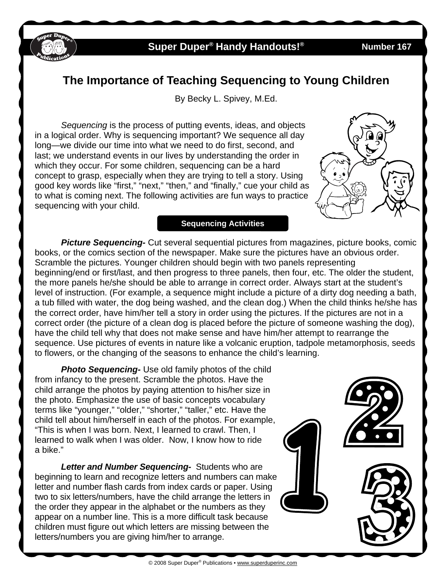

### **Super Duper® Handy Handouts!® Number 167**

# **The Importance of Teaching Sequencing to Young Children**

By Becky L. Spivey, M.Ed.

*Sequencing* is the process of putting events, ideas, and objects in a logical order. Why is sequencing important? We sequence all day long—we divide our time into what we need to do first, second, and last; we understand events in our lives by understanding the order in which they occur. For some children, sequencing can be a hard concept to grasp, especially when they are trying to tell a story. Using good key words like "first," "next," "then," and "finally," cue your child as to what is coming next. The following activities are fun ways to practice sequencing with your child.

**Sequencing Activities** 



 *Picture Sequencing-* Cut several sequential pictures from magazines, picture books, comic books, or the comics section of the newspaper. Make sure the pictures have an obvious order. Scramble the pictures. Younger children should begin with two panels representing beginning/end or first/last, and then progress to three panels, then four, etc. The older the student, the more panels he/she should be able to arrange in correct order. Always start at the student's level of instruction. (For example, a sequence might include a picture of a dirty dog needing a bath, a tub filled with water, the dog being washed, and the clean dog.) When the child thinks he/she has the correct order, have him/her tell a story in order using the pictures. If the pictures are not in a correct order (the picture of a clean dog is placed before the picture of someone washing the dog), have the child tell why that does not make sense and have him/her attempt to rearrange the sequence. Use pictures of events in nature like a volcanic eruption, tadpole metamorphosis, seeds to flowers, or the changing of the seasons to enhance the child's learning.

**Photo Sequencing-** Use old family photos of the child from infancy to the present. Scramble the photos. Have the child arrange the photos by paying attention to his/her size in the photo. Emphasize the use of basic concepts vocabulary terms like "younger," "older," "shorter," "taller," etc. Have the child tell about him/herself in each of the photos. For example, "This is when I was born. Next, I learned to crawl. Then, I learned to walk when I was older. Now, I know how to ride a bike."

 *Letter and Number Sequencing-* Students who are beginning to learn and recognize letters and numbers can make letter and number flash cards from index cards or paper. Using two to six letters/numbers, have the child arrange the letters in the order they appear in the alphabet or the numbers as they appear on a number line. This is a more difficult task because children must figure out which letters are missing between the letters/numbers you are giving him/her to arrange.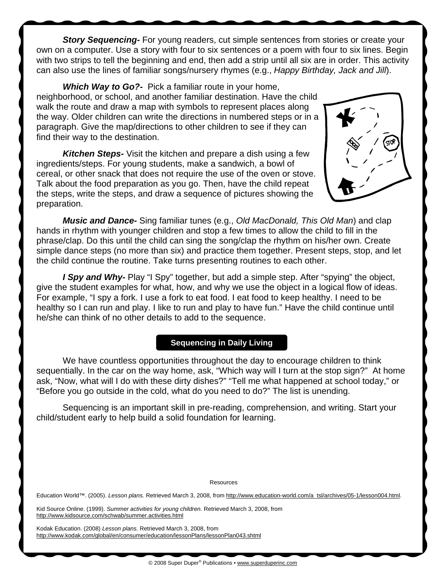**Story Sequencing-** For young readers, cut simple sentences from stories or create your own on a computer. Use a story with four to six sentences or a poem with four to six lines. Begin with two strips to tell the beginning and end, then add a strip until all six are in order. This activity can also use the lines of familiar songs/nursery rhymes (e.g., *Happy Birthday, Jack and Jill*).

 *Which Way to Go?-* Pick a familiar route in your home, neighborhood, or school, and another familiar destination. Have the child walk the route and draw a map with symbols to represent places along the way. Older children can write the directions in numbered steps or in a paragraph. Give the map/directions to other children to see if they can find their way to the destination.

*Kitchen Steps-* Visit the kitchen and prepare a dish using a few ingredients/steps. For young students, make a sandwich, a bowl of cereal, or other snack that does not require the use of the oven or stove. Talk about the food preparation as you go. Then, have the child repeat the steps, write the steps, and draw a sequence of pictures showing the preparation.



*Music and Dance-* Sing familiar tunes (e.g., *Old MacDonald, This Old Man*) and clap hands in rhythm with younger children and stop a few times to allow the child to fill in the phrase/clap. Do this until the child can sing the song/clap the rhythm on his/her own. Create simple dance steps (no more than six) and practice them together. Present steps, stop, and let the child continue the routine. Take turns presenting routines to each other.

*I Spy and Why-* Play "I Spy" together, but add a simple step. After "spying" the object, give the student examples for what, how, and why we use the object in a logical flow of ideas. For example, "I spy a fork. I use a fork to eat food. I eat food to keep healthy. I need to be healthy so I can run and play. I like to run and play to have fun." Have the child continue until he/she can think of no other details to add to the sequence.

#### **Sequencing in Daily Living**

We have countless opportunities throughout the day to encourage children to think sequentially. In the car on the way home, ask, "Which way will I turn at the stop sign?" At home ask, "Now, what will I do with these dirty dishes?" "Tell me what happened at school today," or "Before you go outside in the cold, what do you need to do?" The list is unending.

 Sequencing is an important skill in pre-reading, comprehension, and writing. Start your child/student early to help build a solid foundation for learning.

Resources

Education World™. (2005). *Lesson plans.* Retrieved March 3, 2008, from http://www.education-world.com/a\_tsl/archives/05-1/lesson004.html.

Kid Source Online. (1999). *Summer activities for young children.* Retrieved March 3, 2008, from http://www.kidsource.com/schwab/summer.activities.html

Kodak Education. (2008) *Lesson plans.* Retrieved March 3, 2008, from http://www.kodak.com/global/en/consumer/education/lessonPlans/lessonPlan043.shtml